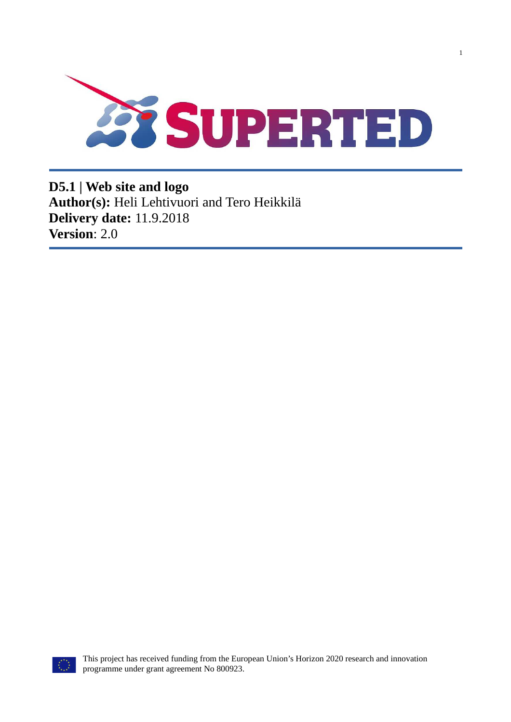

**D5.1 | Web site and logo Author(s):** Heli Lehtivuori and Tero Heikkilä **Delivery date:** 11.9.2018 **Version**: 2.0

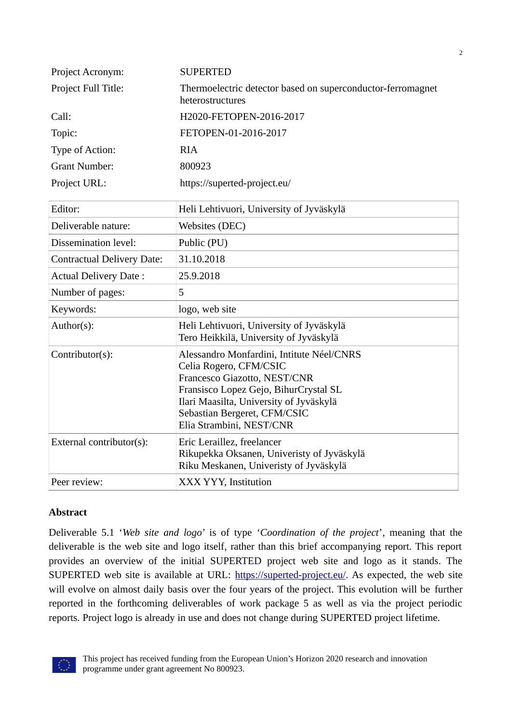| Project Acronym:     | <b>SUPERTED</b>                                                                 |
|----------------------|---------------------------------------------------------------------------------|
| Project Full Title:  | Thermoelectric detector based on superconductor-ferromagnet<br>heterostructures |
| Call:                | H2020-FETOPEN-2016-2017                                                         |
| Topic:               | FETOPEN-01-2016-2017                                                            |
| Type of Action:      | <b>RIA</b>                                                                      |
| <b>Grant Number:</b> | 800923                                                                          |
| Project URL:         | https://superted-project.eu/                                                    |

| Editor:                           | Heli Lehtivuori, University of Jyväskylä                                                                                                                                                                                                            |
|-----------------------------------|-----------------------------------------------------------------------------------------------------------------------------------------------------------------------------------------------------------------------------------------------------|
| Deliverable nature:               | Websites (DEC)                                                                                                                                                                                                                                      |
| Dissemination level:              | Public (PU)                                                                                                                                                                                                                                         |
| <b>Contractual Delivery Date:</b> | 31.10.2018                                                                                                                                                                                                                                          |
| <b>Actual Delivery Date:</b>      | 25.9.2018                                                                                                                                                                                                                                           |
| Number of pages:                  | 5                                                                                                                                                                                                                                                   |
| Keywords:                         | logo, web site                                                                                                                                                                                                                                      |
| Author(s):                        | Heli Lehtivuori, University of Jyväskylä<br>Tero Heikkilä, University of Jyväskylä                                                                                                                                                                  |
| Contributor(s):                   | Alessandro Monfardini, Intitute Néel/CNRS<br>Celia Rogero, CFM/CSIC<br>Francesco Giazotto, NEST/CNR<br>Fransisco Lopez Gejo, BihurCrystal SL<br>Ilari Maasilta, University of Jyväskylä<br>Sebastian Bergeret, CFM/CSIC<br>Elia Strambini, NEST/CNR |
| External contributor(s):          | Eric Leraillez, freelancer<br>Rikupekka Oksanen, Univeristy of Jyväskylä<br>Riku Meskanen, Univeristy of Jyväskylä                                                                                                                                  |
| Peer review:                      | XXX YYY, Institution                                                                                                                                                                                                                                |

#### **Abstract**

Deliverable 5.1 '*Web site and logo*' is of type '*Coordination of the project*', meaning that the deliverable is the web site and logo itself, rather than this brief accompanying report. This report provides an overview of the initial SUPERTED project web site and logo as it stands. The SUPERTED web site is available at URL: [https://superted-project.eu/.](https://superted-project.eu/T) As expected, the web site will evolve on almost daily basis over the four years of the project. This evolution will be further reported in the forthcoming deliverables of work package 5 as well as via the project periodic reports. Project logo is already in use and does not change during SUPERTED project lifetime.

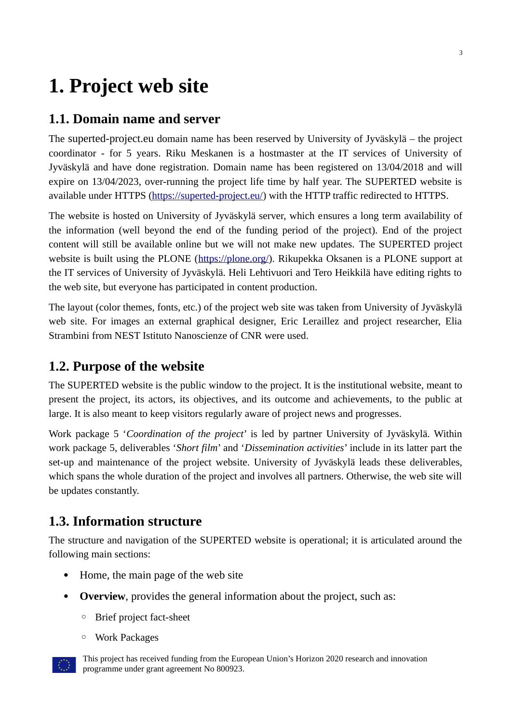# **1. Project web site**

### **1.1. Domain name and server**

The superted-project.eu domain name has been reserved by University of Jyväskylä – the project coordinator - for 5 years. Riku Meskanen is a hostmaster at the IT services of University of Jyväskylä and have done registration. Domain name has been registered on 13/04/2018 and will expire on 13/04/2023, over-running the project life time by half year. The SUPERTED website is available under HTTPS [\(https://superted-project.eu/\)](https://superted-project.eu/) with the HTTP traffic redirected to HTTPS.

The website is hosted on University of Jyväskylä server, which ensures a long term availability of the information (well beyond the end of the funding period of the project). End of the project content will still be available online but we will not make new updates. The SUPERTED project website is built using the PLONE [\(https://plone.org/\)](https://plone.org/). Rikupekka Oksanen is a PLONE support at the IT services of University of Jyväskylä. Heli Lehtivuori and Tero Heikkilä have editing rights to the web site, but everyone has participated in content production.

The layout (color themes, fonts, etc.) of the project web site was taken from University of Jyväskylä web site. For images an external graphical designer, Eric Leraillez and project researcher, Elia Strambini from NEST Istituto Nanoscienze of CNR were used.

#### **1.2. Purpose of the website**

The SUPERTED website is the public window to the project. It is the institutional website, meant to present the project, its actors, its objectives, and its outcome and achievements, to the public at large. It is also meant to keep visitors regularly aware of project news and progresses.

Work package 5 '*Coordination of the project*' is led by partner University of Jyväskylä. Within work package 5, deliverables '*Short film*' and '*Dissemination activities*' include in its latter part the set-up and maintenance of the project website. University of Jyväskylä leads these deliverables, which spans the whole duration of the project and involves all partners. Otherwise, the web site will be updates constantly.

#### **1.3. Information structure**

The structure and navigation of the SUPERTED website is operational; it is articulated around the following main sections:

- Home, the main page of the web site
- **Overview**, provides the general information about the project, such as:
	- Brief project fact-sheet
	- Work Packages



This project has received funding from the European Union's Horizon 2020 research and innovation programme under grant agreement No 800923.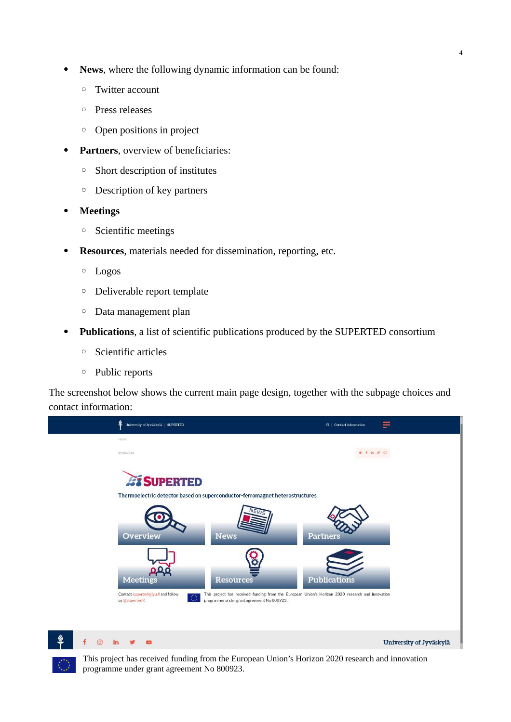- **News**, where the following dynamic information can be found:
	- Twitter account
	- Press releases
	- Open positions in project
- **Partners**, overview of beneficiaries:
	- Short description of institutes
	- Description of key partners
- **Meetings**
	- Scientific meetings
- **Resources**, materials needed for dissemination, reporting, etc.
	- Logos
	- Deliverable report template
	- Data management plan
- **Publications**, a list of scientific publications produced by the SUPERTED consortium
	- Scientific articles
	- Public reports

The screenshot below shows the current main page design, together with the subpage choices and contact information:



This project has received funding from the European Union's Horizon 2020 research and innovation programme under grant agreement No 800923.